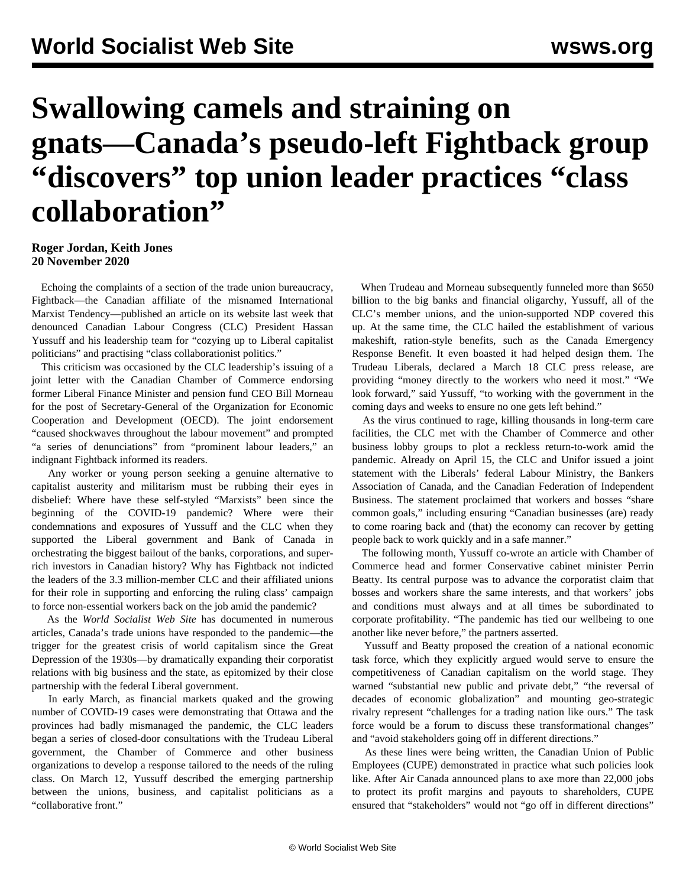## **Swallowing camels and straining on gnats—Canada's pseudo-left Fightback group "discovers" top union leader practices "class collaboration"**

## **Roger Jordan, Keith Jones 20 November 2020**

 Echoing the complaints of a section of the trade union bureaucracy, Fightback—the Canadian affiliate of the misnamed International Marxist Tendency—published an article on its website last week that denounced Canadian Labour Congress (CLC) President Hassan Yussuff and his leadership team for "cozying up to Liberal capitalist politicians" and practising "class collaborationist politics."

 This criticism was occasioned by the CLC leadership's issuing of a joint letter with the Canadian Chamber of Commerce endorsing former Liberal Finance Minister and pension fund CEO Bill Morneau for the post of Secretary-General of the Organization for Economic Cooperation and Development (OECD). The joint endorsement "caused shockwaves throughout the labour movement" and prompted "a series of denunciations" from "prominent labour leaders," an indignant Fightback informed its readers.

 Any worker or young person seeking a genuine alternative to capitalist austerity and militarism must be rubbing their eyes in disbelief: Where have these self-styled "Marxists" been since the beginning of the COVID-19 pandemic? Where were their condemnations and exposures of Yussuff and the CLC when they supported the Liberal government and Bank of Canada in orchestrating the biggest bailout of the banks, corporations, and superrich investors in Canadian history? Why has Fightback not indicted the leaders of the 3.3 million-member CLC and their affiliated unions for their role in supporting and enforcing the ruling class' campaign to force non-essential workers back on the job amid the pandemic?

 As the *World Socialist Web Site* has documented in numerous articles, Canada's trade unions have responded to the pandemic—the trigger for the greatest crisis of world capitalism since the Great Depression of the 1930s—by dramatically expanding their corporatist relations with big business and the state, as epitomized by their close partnership with the federal Liberal government.

 In early March, as financial markets quaked and the growing number of COVID-19 cases were demonstrating that Ottawa and the provinces had badly mismanaged the pandemic, the CLC leaders began a series of closed-door consultations with the Trudeau Liberal government, the Chamber of Commerce and other business organizations to develop a response tailored to the needs of the ruling class. On March 12, Yussuff described the emerging partnership between the unions, business, and capitalist politicians as a "collaborative front."

 When Trudeau and Morneau subsequently funneled more than \$650 billion to the big banks and financial oligarchy, Yussuff, all of the CLC's member unions, and the union-supported NDP covered this up. At the same time, the CLC hailed the establishment of various makeshift, ration-style benefits, such as the Canada Emergency Response Benefit. It even boasted it had helped design them. The Trudeau Liberals, declared a March 18 CLC press release, are providing "money directly to the workers who need it most." "We look forward," said Yussuff, "to working with the government in the coming days and weeks to ensure no one gets left behind."

 As the virus continued to rage, killing thousands in long-term care facilities, the CLC met with the Chamber of Commerce and other business lobby groups to plot a reckless return-to-work amid the pandemic. Already on April 15, the CLC and Unifor issued a joint statement with the Liberals' federal Labour Ministry, the Bankers Association of Canada, and the Canadian Federation of Independent Business. The statement proclaimed that workers and bosses "share common goals," including ensuring "Canadian businesses (are) ready to come roaring back and (that) the economy can recover by getting people back to work quickly and in a safe manner."

 The following month, Yussuff co-wrote an article with Chamber of Commerce head and former Conservative cabinet minister Perrin Beatty. Its central purpose was to advance the corporatist claim that bosses and workers share the same interests, and that workers' jobs and conditions must always and at all times be subordinated to corporate profitability. "The pandemic has tied our wellbeing to one another like never before," the partners asserted.

 Yussuff and Beatty proposed the creation of a national economic task force, which they explicitly argued would serve to ensure the competitiveness of Canadian capitalism on the world stage. They warned "substantial new public and private debt," "the reversal of decades of economic globalization" and mounting geo-strategic rivalry represent "challenges for a trading nation like ours." The task force would be a forum to discuss these transformational changes" and "avoid stakeholders going off in different directions."

 As these lines were being written, the Canadian Union of Public Employees (CUPE) demonstrated in practice what such policies look like. After Air Canada announced plans to axe more than 22,000 jobs to protect its profit margins and payouts to shareholders, CUPE ensured that "stakeholders" would not "go off in different directions"